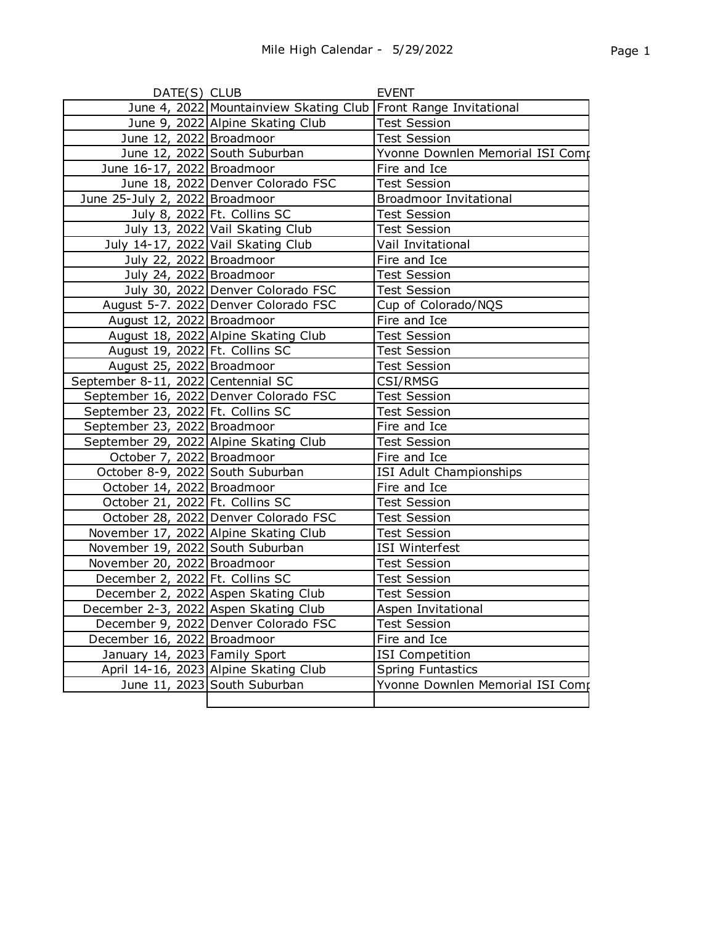| DATE(S) CLUB                       |                                                                   | <b>EVENT</b>                     |
|------------------------------------|-------------------------------------------------------------------|----------------------------------|
|                                    | June 4, 2022 Mountainview Skating Club   Front Range Invitational |                                  |
|                                    | June 9, 2022 Alpine Skating Club                                  | <b>Test Session</b>              |
| June 12, 2022 Broadmoor            |                                                                   | <b>Test Session</b>              |
|                                    | June 12, 2022 South Suburban                                      | Yvonne Downlen Memorial ISI Comp |
| June 16-17, 2022 Broadmoor         |                                                                   | Fire and Ice                     |
|                                    | June 18, 2022 Denver Colorado FSC                                 | <b>Test Session</b>              |
| June 25-July 2, 2022 Broadmoor     |                                                                   | <b>Broadmoor Invitational</b>    |
|                                    | July 8, 2022 Ft. Collins SC                                       | <b>Test Session</b>              |
|                                    | July 13, 2022 Vail Skating Club                                   | <b>Test Session</b>              |
|                                    | July 14-17, 2022 Vail Skating Club                                | Vail Invitational                |
| July 22, 2022 Broadmoor            |                                                                   | Fire and Ice                     |
| July 24, 2022 Broadmoor            |                                                                   | <b>Test Session</b>              |
|                                    | July 30, 2022 Denver Colorado FSC                                 | <b>Test Session</b>              |
|                                    | August 5-7. 2022 Denver Colorado FSC                              | Cup of Colorado/NQS              |
| August 12, 2022 Broadmoor          |                                                                   | Fire and Ice                     |
|                                    | August 18, 2022 Alpine Skating Club                               | <b>Test Session</b>              |
| August 19, 2022 Ft. Collins SC     |                                                                   | <b>Test Session</b>              |
| August 25, 2022 Broadmoor          |                                                                   | <b>Test Session</b>              |
| September 8-11, 2022 Centennial SC |                                                                   | CSI/RMSG                         |
|                                    | September 16, 2022 Denver Colorado FSC                            | <b>Test Session</b>              |
| September 23, 2022 Ft. Collins SC  |                                                                   | <b>Test Session</b>              |
| September 23, 2022 Broadmoor       |                                                                   | Fire and Ice                     |
|                                    | September 29, 2022 Alpine Skating Club                            | <b>Test Session</b>              |
| October 7, 2022 Broadmoor          |                                                                   | Fire and Ice                     |
| October 8-9, 2022 South Suburban   |                                                                   | ISI Adult Championships          |
| October 14, 2022 Broadmoor         |                                                                   | Fire and Ice                     |
| October 21, 2022 Ft. Collins SC    |                                                                   | <b>Test Session</b>              |
|                                    | October 28, 2022 Denver Colorado FSC                              | <b>Test Session</b>              |
|                                    | November 17, 2022 Alpine Skating Club                             | <b>Test Session</b>              |
| November 19, 2022 South Suburban   |                                                                   | ISI Winterfest                   |
| November 20, 2022 Broadmoor        |                                                                   | <b>Test Session</b>              |
| December 2, 2022 Ft. Collins SC    |                                                                   | <b>Test Session</b>              |
|                                    | December 2, 2022 Aspen Skating Club                               | <b>Test Session</b>              |
|                                    | December 2-3, 2022 Aspen Skating Club                             | Aspen Invitational               |
|                                    | December 9, 2022 Denver Colorado FSC                              | <b>Test Session</b>              |
| December 16, 2022 Broadmoor        |                                                                   | Fire and Ice                     |
| January 14, 2023 Family Sport      |                                                                   | <b>ISI</b> Competition           |
|                                    | April 14-16, 2023 Alpine Skating Club                             | <b>Spring Funtastics</b>         |
|                                    | June 11, 2023 South Suburban                                      | Yvonne Downlen Memorial ISI Comp |
|                                    |                                                                   |                                  |